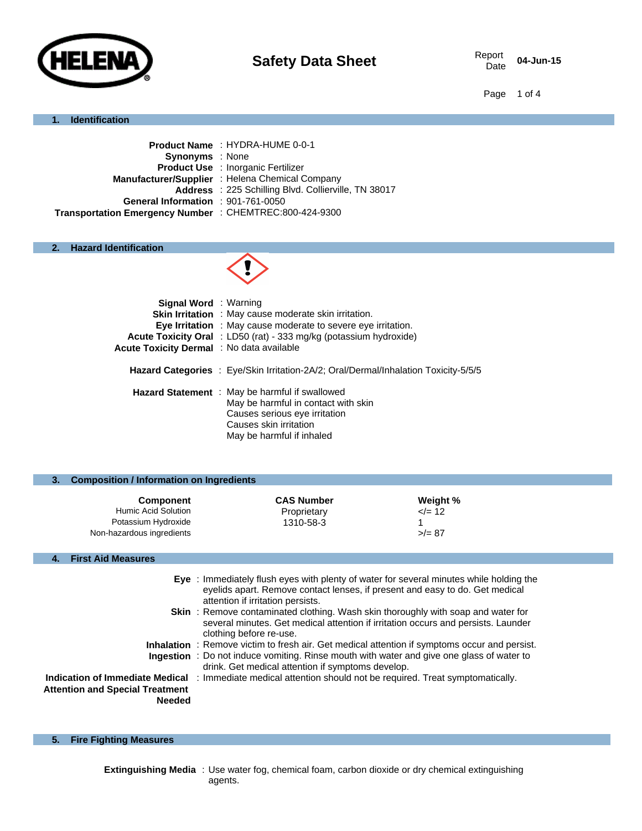

04-Jun-15

Page 1 of 4

#### **1. Identification**

|                                                         | Product Name : HYDRA-HUME 0-0-1                      |
|---------------------------------------------------------|------------------------------------------------------|
| <b>Synonyms</b> : None                                  |                                                      |
|                                                         | <b>Product Use : Inorganic Fertilizer</b>            |
|                                                         | Manufacturer/Supplier : Helena Chemical Company      |
|                                                         | Address : 225 Schilling Blvd. Collierville, TN 38017 |
| General Information : 901-761-0050                      |                                                      |
| Transportation Emergency Number : CHEMTREC:800-424-9300 |                                                      |
|                                                         |                                                      |

## **2. Hazard Identification**



| <b>Signal Word</b> : Warning<br>Acute Toxicity Dermal : No data available | <b>Skin Irritation</b> : May cause moderate skin irritation.<br><b>Eye Irritation</b> : May cause moderate to severe eye irritation.<br><b>Acute Toxicity Oral</b> : LD50 (rat) - 333 mg/kg (potassium hydroxide) |
|---------------------------------------------------------------------------|-------------------------------------------------------------------------------------------------------------------------------------------------------------------------------------------------------------------|
|                                                                           | <b>Hazard Categories</b> : Eye/Skin Irritation-2A/2; Oral/Dermal/Inhalation Toxicity-5/5/5                                                                                                                        |
|                                                                           | Hazard Statement : May be harmful if swallowed<br>May be harmful in contact with skin<br>Causes serious eye irritation<br>Causes skin irritation<br>May be harmful if inhaled                                     |

| 3. | <b>Composition / Information on Ingredients</b>                                             |                                               |                                      |  |
|----|---------------------------------------------------------------------------------------------|-----------------------------------------------|--------------------------------------|--|
|    | <b>Component</b><br>Humic Acid Solution<br>Potassium Hydroxide<br>Non-hazardous ingredients | <b>CAS Number</b><br>Proprietary<br>1310-58-3 | Weight %<br>$\le$ /= 12<br>$>$ /= 87 |  |
|    |                                                                                             |                                               |                                      |  |
|    | <b>First Aid Measures</b>                                                                   |                                               |                                      |  |

|                                                         | Eye : Immediately flush eyes with plenty of water for several minutes while holding the<br>eyelids apart. Remove contact lenses, if present and easy to do. Get medical                                                                       |
|---------------------------------------------------------|-----------------------------------------------------------------------------------------------------------------------------------------------------------------------------------------------------------------------------------------------|
|                                                         | attention if irritation persists.<br><b>Skin</b> : Remove contaminated clothing. Wash skin thoroughly with soap and water for<br>several minutes. Get medical attention if irritation occurs and persists. Launder<br>clothing before re-use. |
|                                                         | <b>Inhalation</b> : Remove victim to fresh air. Get medical attention if symptoms occur and persist.                                                                                                                                          |
|                                                         | Ingestion : Do not induce vomiting. Rinse mouth with water and give one glass of water to<br>drink. Get medical attention if symptoms develop.                                                                                                |
| <b>Attention and Special Treatment</b><br><b>Needed</b> | <b>Indication of Immediate Medical</b> : Immediate medical attention should not be required. Treat symptomatically.                                                                                                                           |

**5. Fire Fighting Measures**

**Extinguishing Media** : Use water fog, chemical foam, carbon dioxide or dry chemical extinguishing agents.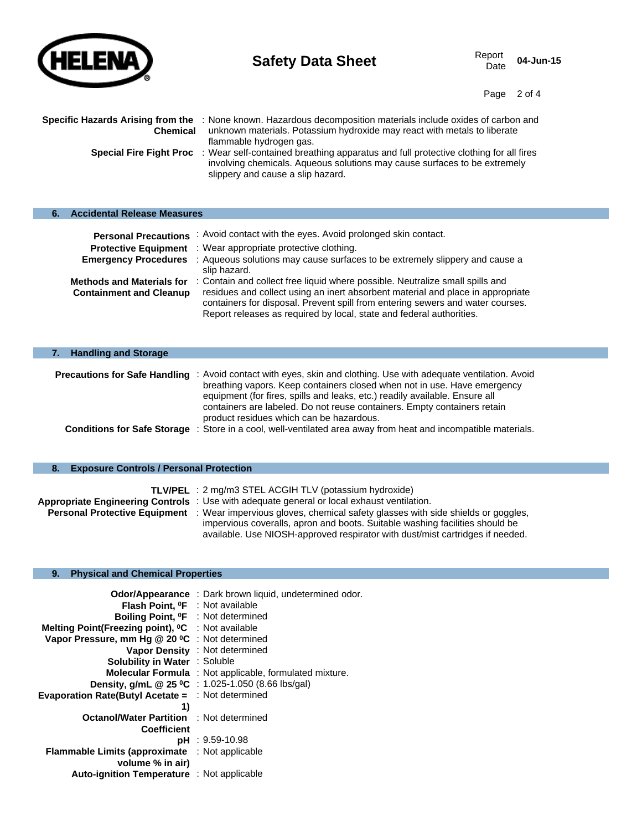

p.

# **Safety Data Sheet** Report Report Data Sheet

04-Jun-15

Page 2 of 4

| Specific Hazards Arising from the<br><b>Chemical</b> | : None known. Hazardous decomposition materials include oxides of carbon and<br>unknown materials. Potassium hydroxide may react with metals to liberate<br>flammable hydrogen gas.                    |
|------------------------------------------------------|--------------------------------------------------------------------------------------------------------------------------------------------------------------------------------------------------------|
| <b>Special Fire Fight Proc</b>                       | : Wear self-contained breathing apparatus and full protective clothing for all fires<br>involving chemicals. Aqueous solutions may cause surfaces to be extremely<br>slippery and cause a slip hazard. |

|  | <b>Accidental Release Measures</b> |  |  |
|--|------------------------------------|--|--|
|--|------------------------------------|--|--|

| <b>Personal Precautions</b>                                        | : Avoid contact with the eyes. Avoid prolonged skin contact.                                                                                                                                                                                                                                                               |
|--------------------------------------------------------------------|----------------------------------------------------------------------------------------------------------------------------------------------------------------------------------------------------------------------------------------------------------------------------------------------------------------------------|
| <b>Protective Equipment</b>                                        | : Wear appropriate protective clothing.                                                                                                                                                                                                                                                                                    |
| <b>Emergency Procedures</b>                                        | : Aqueous solutions may cause surfaces to be extremely slippery and cause a<br>slip hazard.                                                                                                                                                                                                                                |
| <b>Methods and Materials for</b><br><b>Containment and Cleanup</b> | : Contain and collect free liquid where possible. Neutralize small spills and<br>residues and collect using an inert absorbent material and place in appropriate<br>containers for disposal. Prevent spill from entering sewers and water courses.<br>Report releases as required by local, state and federal authorities. |

| <b>Handling and Storage</b>          |                                                                                                                                                                                                                                                                                                                                                                       |
|--------------------------------------|-----------------------------------------------------------------------------------------------------------------------------------------------------------------------------------------------------------------------------------------------------------------------------------------------------------------------------------------------------------------------|
| <b>Precautions for Safe Handling</b> | : Avoid contact with eyes, skin and clothing. Use with adequate ventilation. Avoid<br>breathing vapors. Keep containers closed when not in use. Have emergency<br>equipment (for fires, spills and leaks, etc.) readily available. Ensure all<br>containers are labeled. Do not reuse containers. Empty containers retain<br>product residues which can be hazardous. |
| <b>Conditions for Safe Storage</b>   | : Store in a cool, well-ventilated area away from heat and incompatible materials.                                                                                                                                                                                                                                                                                    |

### **8. Exposure Controls / Personal Protection**

| <b>TLV/PEL</b> : 2 mg/m3 STEL ACGIH TLV (potassium hydroxide)                                                        |
|----------------------------------------------------------------------------------------------------------------------|
| Appropriate Engineering Controls : Use with adequate general or local exhaust ventilation.                           |
| <b>Personal Protective Equipment</b> : Wear impervious gloves, chemical safety glasses with side shields or goggles, |
| impervious coveralls, apron and boots. Suitable washing facilities should be                                         |
| available. Use NIOSH-approved respirator with dust/mist cartridges if needed.                                        |

#### **9. Physical and Chemical Properties**

| <b>Flash Point, <sup>o</sup>F</b> : Not available<br>Boiling Point, <sup>o</sup> F : Not determined<br>Melting Point(Freezing point), <sup>o</sup> C : Not available<br>Vapor Pressure, mm Hg @ 20 °C : Not determined<br>Vapor Density : Not determined<br><b>Solubility in Water : Soluble</b> | Odor/Appearance : Dark brown liquid, undetermined odor.<br><b>Molecular Formula</b> : Not applicable, formulated mixture.<br><b>Density, g/mL @ 25 °C</b> : 1.025-1.050 (8.66 lbs/gal) |
|--------------------------------------------------------------------------------------------------------------------------------------------------------------------------------------------------------------------------------------------------------------------------------------------------|----------------------------------------------------------------------------------------------------------------------------------------------------------------------------------------|
| <b>Evaporation Rate(Butyl Acetate = : Not determined</b>                                                                                                                                                                                                                                         |                                                                                                                                                                                        |
| 1)                                                                                                                                                                                                                                                                                               |                                                                                                                                                                                        |
| <b>Octanol/Water Partition : Not determined</b>                                                                                                                                                                                                                                                  |                                                                                                                                                                                        |
| <b>Coefficient</b>                                                                                                                                                                                                                                                                               |                                                                                                                                                                                        |
|                                                                                                                                                                                                                                                                                                  | $pH : 9.59 - 10.98$                                                                                                                                                                    |
| <b>Flammable Limits (approximate</b>                                                                                                                                                                                                                                                             | : Not applicable                                                                                                                                                                       |
| volume % in air)                                                                                                                                                                                                                                                                                 |                                                                                                                                                                                        |
| <b>Auto-ignition Temperature</b> : Not applicable                                                                                                                                                                                                                                                |                                                                                                                                                                                        |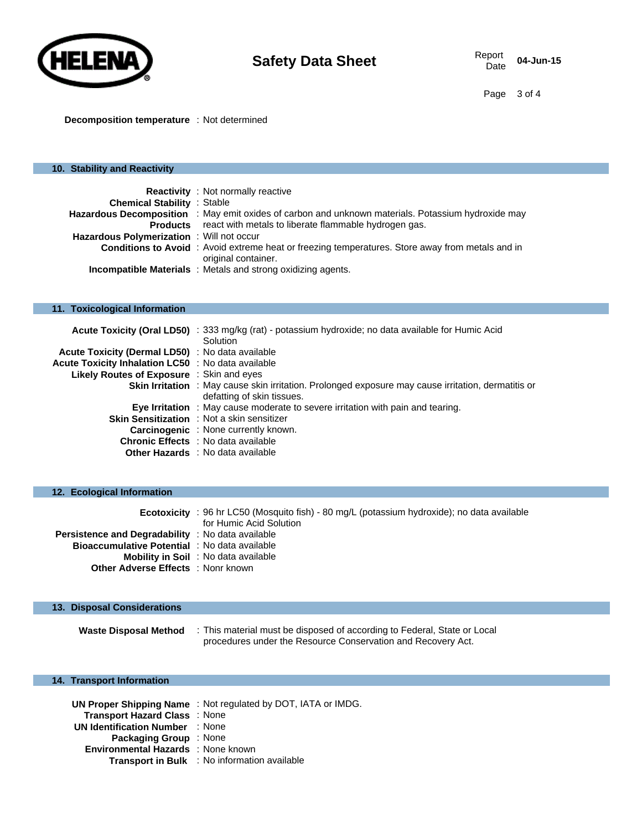

**Decomposition temperature** : Not determined

# **10. Stability and Reactivity Reactivity** : Not normally reactive **Chemical Stability** : Stable Hazardous Decomposition : May emit oxides of carbon and unknown materials. Potassium hydroxide may **Products** react with metals to liberate flammable hydrogen gas. **Hazardous Polymerization** : Will not occur **Conditions to Avoid** : Avoid extreme heat or freezing temperatures. Store away from metals and in original container. **Incompatible Materials** : Metals and strong oxidizing agents. **11. Toxicological Information Acute Toxicity (Oral LD50)** : 333 mg/kg (rat) - potassium hydroxide; no data available for Humic Acid **Solution Acute Toxicity (Dermal LD50)** : No data available **Acute Toxicity Inhalation LC50** : No data available **Likely Routes of Exposure** : Skin and eyes **Skin Irritation** : May cause skin irritation. Prolonged exposure may cause irritation, dermatitis or defatting of skin tissues. **Eye Irritation** : May cause moderate to severe irritation with pain and tearing. **Skin Sensitization** : Not a skin sensitizer **Carcinogenic** : None currently known. **Chronic Effects** : No data available **Other Hazards** : No data available

|                                                      | <b>Ecotoxicity</b> : 96 hr LC50 (Mosquito fish) - 80 mg/L (potassium hydroxide); no data available<br>for Humic Acid Solution |
|------------------------------------------------------|-------------------------------------------------------------------------------------------------------------------------------|
| Persistence and Degradability : No data available    |                                                                                                                               |
| <b>Bioaccumulative Potential</b> : No data available |                                                                                                                               |
|                                                      | <b>Mobility in Soil</b> : No data available                                                                                   |
| <b>Other Adverse Effects</b> : Nonr known            |                                                                                                                               |

#### **13. Disposal Considerations**

**12. Ecological Information**

**Waste Disposal Method** : This material must be disposed of according to Federal, State or Local procedures under the Resource Conservation and Recovery Act.

#### **14. Transport Information**

|                                        | UN Proper Shipping Name: Not regulated by DOT, IATA or IMDG. |
|----------------------------------------|--------------------------------------------------------------|
| Transport Hazard Class: None           |                                                              |
| <b>UN Identification Number : None</b> |                                                              |
| <b>Packaging Group</b> : None          |                                                              |
| Environmental Hazards : None known     |                                                              |
|                                        | <b>Transport in Bulk</b> : No information available          |